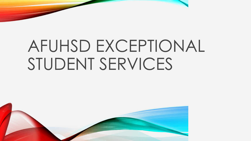# AFUHSD EXCEPTIONAL STUDENT SERVICES

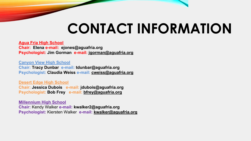# **CONTACT INFORMATION**

**Agua Fria High School**

**Chair: Elena e-mail: ejones@aguafria.org Psychologist: Jim Gorman e-mail: jgorman@aguafria.org**

**Canyon View High School**

**Chair: Tracy Dunbar e-mail: tdunbar@aguafria.org Psychologist: Claudia Weiss e-mail: [cweiss@aguafria.org](mailto:cweiss@aguafria.org)**

**Desert Edge High School Chair: Jessica Dubois e-mail: jdubois@aguafria.org Psychologist: Bob Frey e-mail: [bfrey@aguafria.org](mailto:bfrey@aguafria.org)**

**Millennium High School Chair:** Kendy Walker **e-mail: kwalker2@aguafria.org Psychologist:** Kiersten Walker **e-mail: kwalker@aguafria.org**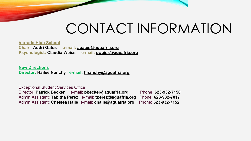### CONTACT INFORMATION

**Verrado High School Chair: Audri Gates e-mail: [agates@aguafria.org](mailto:agates@aguafria.org)  Psychologist: Claudia Weiss e-mail: [cweiss@aguafria.org](mailto:cweiss@aguafria.org)** 

**New Directions Director: Hailee Nanchy e-mail: [hnanchy@aguafria.org](mailto:hnanchy@aguafria.org)** 

Exceptional Student Services Office

Director: **Patrick Becker** e-mail: **[pbecker@aguafria.org](mailto:pbecker@aguafria.org)** Phone: **623-932-7150** Admin Assistant: **Tabitha Perez** e-mail: **[tperez@aguafria.org](mailto:tperez@aguafria.org)** Phone: **623-932-7017** Admin Assistant: **Chelsea Haile** e-mail: **[chaile@aguafria.org](mailto:chaille@aguafria.org)** Phone: **623-932-7152**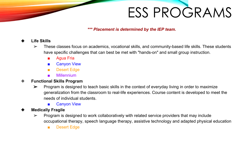*\*\*\* Placement is determined by the IEP team.*

#### ❖ **Life Skills**

- $\triangleright$  These classes focus on academics, vocational skills, and community-based life skills. These students have specific challenges that can best be met with "hands-on" and small group instruction.
	- **Agua Fria**
	- Canyon View
	- Desert Edge
	- Millennium
- ❖ **Functional Skills Program**
	- $\triangleright$  Program is designed to teach basic skills in the context of everyday living in order to maximize generalization from the classroom to real-life experiences. Course content is developed to meet the needs of individual students.
		- Canyon View
- ❖ **Medically Fragile**
	- $\triangleright$  Program is designed to work collaboratively with related service providers that may include occupational therapy, speech language therapy, assistive technology and adapted physical education
		- Desert Edge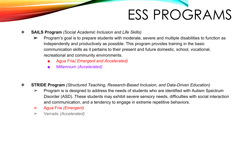- ❖ **SAILS Program** *(Social Academic Inclusion and Life Skills)* 
	- ➢ Program's goal is to prepare students with moderate, severe and multiple disabilities to function as independently and productively as possible. This program provides training in the basic communication skills as it pertains to their present and future domestic, school, vocational, recreational and community environments.
		- Agua Fria*( Emergent and Accelerated)*
		- Millennium *(Accelerated)*
- ❖ **STRIDE Program** *(Structured Teaching, Research-Based Inclusion, and Data-Driven Education)*
	- ➢ Program is is designed to address the needs of students who are identified with Autism Spectrum Disorder (ASD). These students may exhibit severe sensory needs, difficulties with social interaction and communication, and a tendency to engage in extreme repetitive behaviors.
	- ➢ Agua Fria *(Emergent)*
	- ➢ Verrado *(Accelerated)*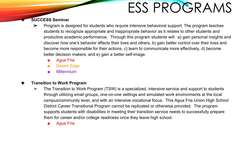#### ❖ **SUCCESS Seminar**

- $\triangleright$  Program is designed for students who require intensive behavioral support. The program teaches students to recognize appropriate and inappropriate behavior as it relates to other students and productive academic performance. Through this program students will: a) gain personal insights and discover how one's behavior affects their lives and others, b) gain better control over their lives and become more responsible for their actions, c) learn to communicate more effectively, d) become better decision makers, and e) gain a better self-image.
	- Agua Fria
	- Desert Edge
	- Millennium

#### ❖ **Transition to Work Program**

- $\triangleright$  The Transition to Work Program (TSW) is a specialized, intensive service and support to students through utilizing small groups, one-on-one settings and simulated work environments at the local campus/community level, and with an intensive vocational focus. This Agua Fria Union High School District Career Transitional Program cannot be replicated or otherwise provided. The program supports students with disabilities in meeting their transition service needs to successfully prepare them for career and/or college readiness once they leave high school.
	- Agua Fria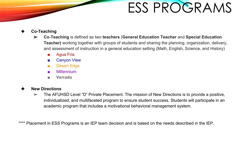#### ❖ **Co-Teaching**

- ➢ **Co**-**Teaching** is defined as two **teachers** (**General Education Teacher** and **Special Education Teacher)** working together with groups of students and sharing the planning, organization, delivery, and assessment of instruction in a general education setting (Math, English, Science, and History)
	- Agua Fria
	- Canyon View
	- Desert Edge
	- Millennium
	- **■ Verrado**

#### ❖ **New Directions**

 $\triangleright$  The AFUHSD Level "D" Private Placement. The mission of New Directions is to provide a positive, individualized, and multifaceted program to ensure student success. Students will participate in an academic program that includes a motivational behavioral management system.

\*\*\*\* Placement in ESS Programs is an IEP team decision and is based on the needs described in the IEP.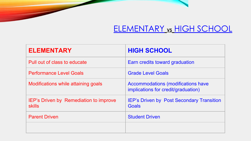#### **ELEMENTARY vs HIGH SCHOOL**

| <b>ELEMENTARY</b>                                       | <b>HIGH SCHOOL</b>                                                        |
|---------------------------------------------------------|---------------------------------------------------------------------------|
| Pull out of class to educate                            | Earn credits toward graduation                                            |
| <b>Performance Level Goals</b>                          | <b>Grade Level Goals</b>                                                  |
| Modifications while attaining goals                     | Accommodations (modifications have<br>implications for credit/graduation) |
| IEP's Driven by Remediation to improve<br><b>skills</b> | <b>IEP's Driven by Post Secondary Transition</b><br><b>Goals</b>          |
| <b>Parent Driven</b>                                    | <b>Student Driven</b>                                                     |
|                                                         |                                                                           |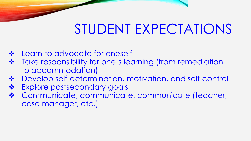### STUDENT EXPECTATIONS

- Learn to advocate for oneself
- Take responsibility for one's learning (from remediation to accommodation)
- ❖ Develop self-determination, motivation, and self-control
- Explore postsecondary goals
- ❖ Communicate, communicate, communicate (teacher, case manager, etc.)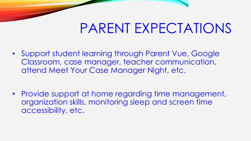### PARENT EXPECTATIONS

• Support student learning through Parent Vue, Google Classroom, case manager, teacher communication, attend Meet Your Case Manager Night, etc.

• Provide support at home regarding time management, organization skills, monitoring sleep and screen time accessibility, etc.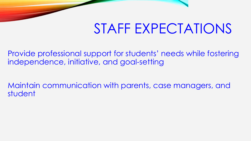### STAFF EXPECTATIONS

Provide professional support for students' needs while fostering independence, initiative, and goal-setting

Maintain communication with parents, case managers, and student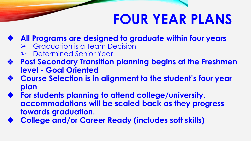# **FOUR YEAR PLANS**

- ❖ **All Programs are designed to graduate within four years**
	- ➢ Graduation is a Team Decision
	- ➢ Determined Senior Year
- ❖ **Post Secondary Transition planning begins at the Freshmen level - Goal Oriented**
- ❖ **Course Selection is in alignment to the student's four year plan**
- ❖ **For students planning to attend college/university, accommodations will be scaled back as they progress towards graduation.**
- ❖ **College and/or Career Ready (includes soft skills)**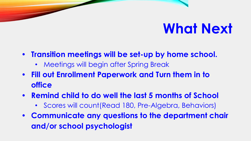## **What Next**

- **• Transition meetings will be set-up by home school.**
	- Meetings will begin after Spring Break
- **• Fill out Enrollment Paperwork and Turn them in to office**
- **• Remind child to do well the last 5 months of School**
	- Scores will count(Read 180, Pre-Algebra, Behaviors)
- **• Communicate any questions to the department chair and/or school psychologist**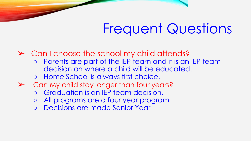## Frequent Questions

 $\triangleright$  Can I choose the school my child attends?

- Parents are part of the IEP team and it is an IEP team decision on where a child will be educated.
- Home School is always first choice.
- ➢ Can My child stay longer than four years?
	- Graduation is an IEP team decision.
	- All programs are a four year program
	- Decisions are made Senior Year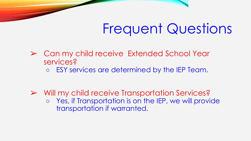## Frequent Questions

- ➢ Can my child receive Extended School Year services?
	- ESY services are determined by the IEP Team.

➢ Will my child receive Transportation Services? ○ Yes, if Transportation is on the IEP, we will provide transportation if warranted.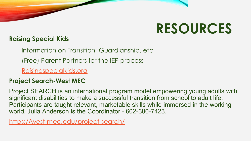## **RESOURCES**

#### **Raising Special Kids**

Information on Transition, Guardianship, etc

(Free) Parent Partners for the IEP process

[Raisingspecialkids.org](https://m.raisingspecialkids.org/)

#### **Project Search-West MEC**

Project SEARCH is an international program model empowering young adults with significant disabilities to make a successful transition from school to adult life. Participants are taught relevant, marketable skills while immersed in the working world. Julia Anderson is the Coordinator - 602-380-7423.

<https://west-mec.edu/project-search/>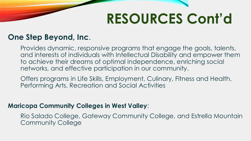# **RESOURCES Cont'd**

#### **One Step Beyond, Inc**.

Provides dynamic, responsive programs that engage the goals, talents, and interests of individuals with Intellectual Disability and empower them to achieve their dreams of optimal independence, enriching social networks, and effective participation in our community.

Offers programs in Life Skills, Employment, Culinary, Fitness and Health, Performing Arts, Recreation and Social Activities

#### **Maricopa Community Colleges in West Valley**:

Rio Salado College, Gateway Community College, and Estrella Mountain Community College